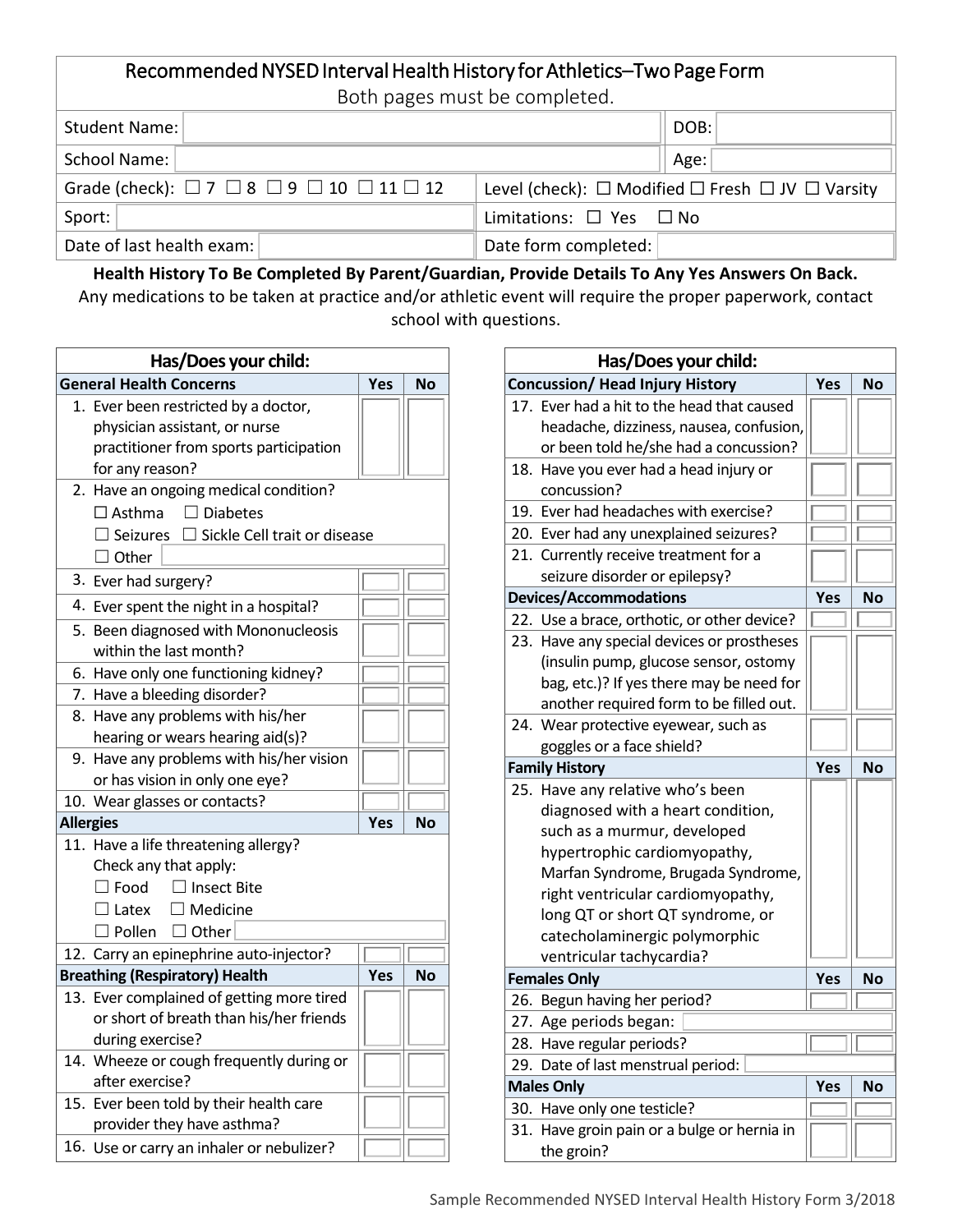## Recommended NYSED Interval Health History for Athletics–Two Page Form Both pages must be completed.

| both pages inast be completed.                                          |                                                                      |  |  |  |
|-------------------------------------------------------------------------|----------------------------------------------------------------------|--|--|--|
| Student Name:                                                           | DOB:                                                                 |  |  |  |
| School Name:                                                            | Age:                                                                 |  |  |  |
| Grade (check): $\Box$ 7 $\Box$ 8 $\Box$ 9 $\Box$ 10 $\Box$ 11 $\Box$ 12 | Level (check): $\Box$ Modified $\Box$ Fresh $\Box$ JV $\Box$ Varsity |  |  |  |
| Sport:                                                                  | Limitations: $\Box$ Yes $\Box$ No                                    |  |  |  |
| Date of last health exam:                                               | Date form completed:                                                 |  |  |  |

**Health History To Be Completed By Parent/Guardian, Provide Details To Any Yes Answers On Back.** Any medications to be taken at practice and/or athletic event will require the proper paperwork, contact school with questions.

| Has/Does your child:                  |                                                        |     |           |  |  |
|---------------------------------------|--------------------------------------------------------|-----|-----------|--|--|
| <b>General Health Concerns</b>        |                                                        |     | No        |  |  |
| 1.                                    | Ever been restricted by a doctor,                      |     |           |  |  |
|                                       | physician assistant, or nurse                          |     |           |  |  |
|                                       | practitioner from sports participation                 |     |           |  |  |
|                                       | for any reason?                                        |     |           |  |  |
|                                       | 2. Have an ongoing medical condition?                  |     |           |  |  |
|                                       | $\square$ Asthma<br>$\Box$ Diabetes                    |     |           |  |  |
|                                       | $\Box$ Seizures<br>$\Box$ Sickle Cell trait or disease |     |           |  |  |
|                                       | $\Box$ Other                                           |     |           |  |  |
|                                       | 3. Ever had surgery?                                   |     |           |  |  |
|                                       | 4. Ever spent the night in a hospital?                 |     |           |  |  |
|                                       | 5. Been diagnosed with Mononucleosis                   |     |           |  |  |
|                                       | within the last month?                                 |     |           |  |  |
| 6.                                    | Have only one functioning kidney?                      |     |           |  |  |
|                                       | 7. Have a bleeding disorder?                           |     |           |  |  |
|                                       | 8. Have any problems with his/her                      |     |           |  |  |
|                                       | hearing or wears hearing aid(s)?                       |     |           |  |  |
|                                       | 9. Have any problems with his/her vision               |     |           |  |  |
|                                       | or has vision in only one eye?                         |     |           |  |  |
|                                       | 10. Wear glasses or contacts?                          |     |           |  |  |
| <b>Allergies</b>                      |                                                        | Yes | No        |  |  |
|                                       | 11. Have a life threatening allergy?                   |     |           |  |  |
|                                       | Check any that apply:                                  |     |           |  |  |
|                                       | $\Box$ Insect Bite<br>$\Box$ Food                      |     |           |  |  |
|                                       | $\Box$ Latex<br>$\Box$ Medicine                        |     |           |  |  |
|                                       | $\square$ Other<br>$\Box$ Pollen                       |     |           |  |  |
|                                       | 12. Carry an epinephrine auto-injector?                |     |           |  |  |
| <b>Breathing (Respiratory) Health</b> |                                                        | Yes | <b>No</b> |  |  |
|                                       | 13. Ever complained of getting more tired              |     |           |  |  |
|                                       | or short of breath than his/her friends                |     |           |  |  |
|                                       | during exercise?                                       |     |           |  |  |
|                                       | 14. Wheeze or cough frequently during or               |     |           |  |  |
|                                       | after exercise?                                        |     |           |  |  |
|                                       | 15. Ever been told by their health care                |     |           |  |  |
|                                       | provider they have asthma?                             |     |           |  |  |
|                                       | 16. Use or carry an inhaler or nebulizer?              |     |           |  |  |

| Has/Does your child: |                                                       |            |           |
|----------------------|-------------------------------------------------------|------------|-----------|
|                      | <b>Concussion/ Head Injury History</b>                | Yes        | <b>No</b> |
|                      | 17. Ever had a hit to the head that caused            |            |           |
|                      | headache, dizziness, nausea, confusion,               |            |           |
|                      | or been told he/she had a concussion?                 |            |           |
|                      | 18. Have you ever had a head injury or                |            |           |
|                      | concussion?                                           |            |           |
|                      | 19. Ever had headaches with exercise?                 |            |           |
|                      | 20. Ever had any unexplained seizures?                |            |           |
|                      | 21. Currently receive treatment for a                 |            |           |
|                      | seizure disorder or epilepsy?                         |            |           |
|                      | <b>Devices/Accommodations</b>                         | Yes        | <b>No</b> |
|                      | 22. Use a brace, orthotic, or other device?           |            |           |
|                      | 23. Have any special devices or prostheses            |            |           |
|                      | (insulin pump, glucose sensor, ostomy                 |            |           |
|                      | bag, etc.)? If yes there may be need for              |            |           |
|                      | another required form to be filled out.               |            |           |
|                      | 24. Wear protective eyewear, such as                  |            |           |
|                      | goggles or a face shield?                             |            |           |
|                      |                                                       |            |           |
|                      | <b>Family History</b>                                 | Yes        | <b>No</b> |
|                      | 25. Have any relative who's been                      |            |           |
|                      | diagnosed with a heart condition,                     |            |           |
|                      | such as a murmur, developed                           |            |           |
|                      | hypertrophic cardiomyopathy,                          |            |           |
|                      | Marfan Syndrome, Brugada Syndrome,                    |            |           |
|                      | right ventricular cardiomyopathy,                     |            |           |
|                      | long QT or short QT syndrome, or                      |            |           |
|                      | catecholaminergic polymorphic                         |            |           |
|                      | ventricular tachycardia?                              |            |           |
|                      | <b>Females Only</b>                                   | Yes        | <b>No</b> |
|                      | 26. Begun having her period?                          |            |           |
|                      | 27. Age periods began:                                |            |           |
|                      | 28. Have regular periods?                             |            |           |
| 29.                  | Date of last menstrual period:                        |            |           |
|                      | <b>Males Only</b>                                     | <b>Yes</b> | <b>No</b> |
| 30.                  | Have only one testicle?                               |            |           |
| 31.                  | Have groin pain or a bulge or hernia in<br>the groin? |            |           |